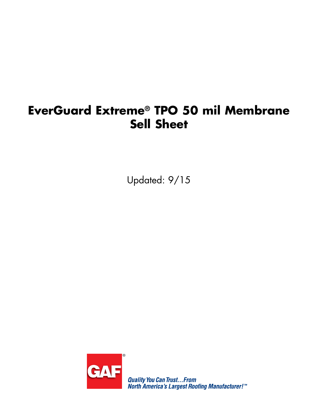## **EverGuard Extreme® TPO 50 mil Membrane Sell Sheet**

Updated: 9/15



**Quality You Can Trust...From<br>North America's Largest Roofing Manufacturer!"**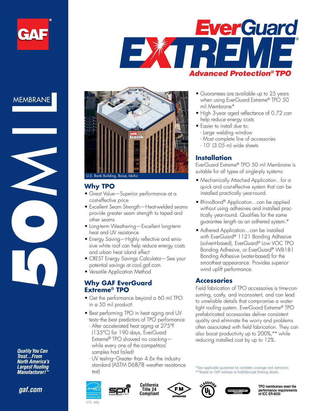

# **EverGuard** EXTRE *Advanced Protection® TPO*



**Quality You Can<br>Trust...From North America's Largest Roofing Manufacturer!** 

*gaf.com*



#### **Why TPO**

- Great Value—Superior performance at a cost-effective price
- Excellent Seam Strength—Heat-welded seams provide greater seam strength to taped and other seams
- Long-term Weathering-Excellent long-term heat and UV resistance
- Energy Saving—Highly reflective and emissive white roof can help reduce energy costs and urban heat island effect
- CREST Energy Savings Calculator—See your potential savings at cool.gaf.com
- Versatile Application Method

#### **Why GAF EverGuard Extreme® TPO**

- Get the performance beyond a 60 mil TPO in a 50 mil product!
- Best performing TPO in heat aging and UV tests–the best predictors of TPO performance
	- After accelerated heat aging at 275°F (135°C) for 190 days, EverGuard Extreme® TPO showed no cracking while every one of the competitors' samples had failed!
	- UV testing–Greater than 4.6x the industry standard (ASTM D6878 weather resistance test)









**TPO membranes meet the performance requirements of ICC ER-6030**

- Guarantees are available up to 25 years when using EverGuard Extreme® TPO 50 mil Membrane\*
- High 3-year aged reflectance of 0.72 can help reduce energy costs
- Easier to install due to:
	- Large welding window
	- Most complete line of accessories
	- 10' (3.05 m) wide sheets

#### **Installation**

EverGuard Extreme® TPO 50 mil Membrane is suitable for all types of single-ply systems:

- Mechanically Attached Application...for a quick and cost-effective system that can be installed practically year-round.
- RhinoBond® Application...can be applied without using adhesives and installed practically year-round. Qualifies for the same guarantee length as an adhered system.\*
- Adhered Application...can be installed with EverGuard® 1121 Bonding Adhesive (solvent-based), EverGuard® Low VOC TPO Bonding Adhesive, or EverGuard® WB181 Bonding Adhesive (water-based) for the smoothest appearance. Provides superior wind uplift performance.

#### **Accessories**

Field fabrication of TPO accessories is time-consuming, costly, and inconsistent, and can lead to unreliable details that compromise a watertight roofing system. EverGuard Extreme® TPO prefabricated accessories deliver consistent quality and eliminate the worry and problems often associated with field fabrication. They can also boost productivity up to 200%,\*\* while reducing installed cost by up to 12%.

\*\*Based on GAF estimate to field-fabricate flashing details.

\*See applicable guarantee for complete coverage and restrictions.

U.S. only